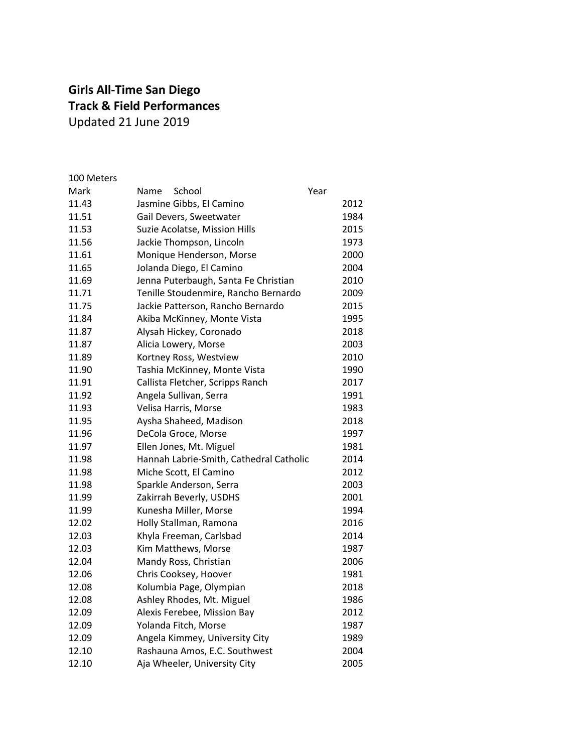## **Girls All-Time San Diego Track & Field Performances** Updated 21 June 2019

| 100 Meters |                                         |      |
|------------|-----------------------------------------|------|
| Mark       | School<br>Name                          | Year |
| 11.43      | Jasmine Gibbs, El Camino                | 2012 |
| 11.51      | Gail Devers, Sweetwater                 | 1984 |
| 11.53      | Suzie Acolatse, Mission Hills           | 2015 |
| 11.56      | Jackie Thompson, Lincoln                | 1973 |
| 11.61      | Monique Henderson, Morse                | 2000 |
| 11.65      | Jolanda Diego, El Camino                | 2004 |
| 11.69      | Jenna Puterbaugh, Santa Fe Christian    | 2010 |
| 11.71      | Tenille Stoudenmire, Rancho Bernardo    | 2009 |
| 11.75      | Jackie Patterson, Rancho Bernardo       | 2015 |
| 11.84      | Akiba McKinney, Monte Vista             | 1995 |
| 11.87      | Alysah Hickey, Coronado                 | 2018 |
| 11.87      | Alicia Lowery, Morse                    | 2003 |
| 11.89      | Kortney Ross, Westview                  | 2010 |
| 11.90      | Tashia McKinney, Monte Vista            | 1990 |
| 11.91      | Callista Fletcher, Scripps Ranch        | 2017 |
| 11.92      | Angela Sullivan, Serra                  | 1991 |
| 11.93      | Velisa Harris, Morse                    | 1983 |
| 11.95      | Aysha Shaheed, Madison                  | 2018 |
| 11.96      | DeCola Groce, Morse                     | 1997 |
| 11.97      | Ellen Jones, Mt. Miguel                 | 1981 |
| 11.98      | Hannah Labrie-Smith, Cathedral Catholic | 2014 |
| 11.98      | Miche Scott, El Camino                  | 2012 |
| 11.98      | Sparkle Anderson, Serra                 | 2003 |
| 11.99      | Zakirrah Beverly, USDHS                 | 2001 |
| 11.99      | Kunesha Miller, Morse                   | 1994 |
| 12.02      | Holly Stallman, Ramona                  | 2016 |
| 12.03      | Khyla Freeman, Carlsbad                 | 2014 |
| 12.03      | Kim Matthews, Morse                     | 1987 |
| 12.04      | Mandy Ross, Christian                   | 2006 |
| 12.06      | Chris Cooksey, Hoover                   | 1981 |
| 12.08      | Kolumbia Page, Olympian                 | 2018 |
| 12.08      | Ashley Rhodes, Mt. Miguel               | 1986 |
| 12.09      | Alexis Ferebee, Mission Bay             | 2012 |
| 12.09      | Yolanda Fitch, Morse                    | 1987 |
| 12.09      | Angela Kimmey, University City          | 1989 |
| 12.10      | Rashauna Amos, E.C. Southwest           | 2004 |
| 12.10      | Aja Wheeler, University City            | 2005 |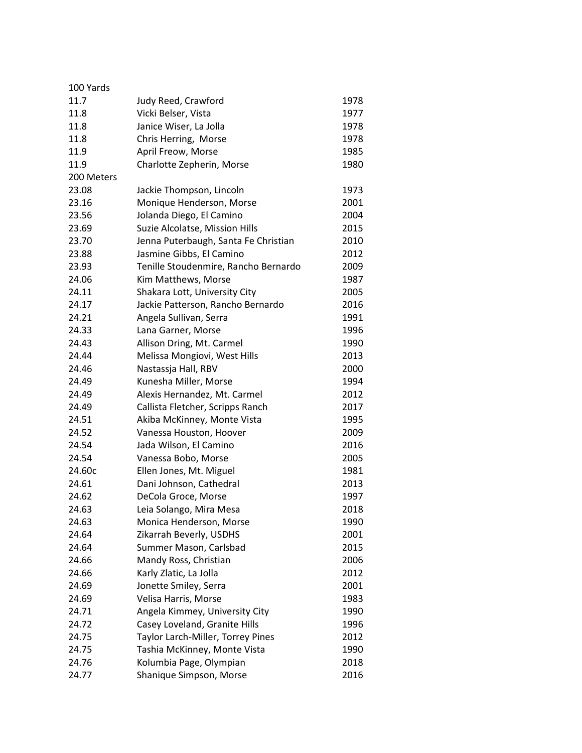| 100 Yards  |                                      |      |
|------------|--------------------------------------|------|
| 11.7       | Judy Reed, Crawford                  | 1978 |
| 11.8       | Vicki Belser, Vista                  | 1977 |
| 11.8       | Janice Wiser, La Jolla               | 1978 |
| 11.8       | Chris Herring, Morse                 | 1978 |
| 11.9       | April Freow, Morse                   | 1985 |
| 11.9       | Charlotte Zepherin, Morse            | 1980 |
| 200 Meters |                                      |      |
| 23.08      | Jackie Thompson, Lincoln             | 1973 |
| 23.16      | Monique Henderson, Morse             | 2001 |
| 23.56      | Jolanda Diego, El Camino             | 2004 |
| 23.69      | Suzie Alcolatse, Mission Hills       | 2015 |
| 23.70      | Jenna Puterbaugh, Santa Fe Christian | 2010 |
| 23.88      | Jasmine Gibbs, El Camino             | 2012 |
| 23.93      | Tenille Stoudenmire, Rancho Bernardo | 2009 |
| 24.06      | Kim Matthews, Morse                  | 1987 |
| 24.11      | Shakara Lott, University City        | 2005 |
| 24.17      | Jackie Patterson, Rancho Bernardo    | 2016 |
| 24.21      | Angela Sullivan, Serra               | 1991 |
| 24.33      | Lana Garner, Morse                   | 1996 |
| 24.43      | Allison Dring, Mt. Carmel            | 1990 |
| 24.44      | Melissa Mongiovi, West Hills         | 2013 |
| 24.46      | Nastassja Hall, RBV                  | 2000 |
| 24.49      | Kunesha Miller, Morse                | 1994 |
| 24.49      | Alexis Hernandez, Mt. Carmel         | 2012 |
| 24.49      | Callista Fletcher, Scripps Ranch     | 2017 |
| 24.51      | Akiba McKinney, Monte Vista          | 1995 |
| 24.52      | Vanessa Houston, Hoover              | 2009 |
| 24.54      | Jada Wilson, El Camino               | 2016 |
| 24.54      | Vanessa Bobo, Morse                  | 2005 |
| 24.60c     | Ellen Jones, Mt. Miguel              | 1981 |
| 24.61      | Dani Johnson, Cathedral              | 2013 |
| 24.62      | DeCola Groce, Morse                  | 1997 |
| 24.63      | Leia Solango, Mira Mesa              | 2018 |
| 24.63      | Monica Henderson, Morse              | 1990 |
| 24.64      | Zikarrah Beverly, USDHS              | 2001 |
| 24.64      | Summer Mason, Carlsbad               | 2015 |
| 24.66      | Mandy Ross, Christian                | 2006 |
| 24.66      | Karly Zlatic, La Jolla               | 2012 |
| 24.69      | Jonette Smiley, Serra                | 2001 |
| 24.69      | Velisa Harris, Morse                 | 1983 |
| 24.71      | Angela Kimmey, University City       | 1990 |
| 24.72      | Casey Loveland, Granite Hills        | 1996 |
| 24.75      | Taylor Larch-Miller, Torrey Pines    | 2012 |
| 24.75      | Tashia McKinney, Monte Vista         | 1990 |
| 24.76      | Kolumbia Page, Olympian              | 2018 |
| 24.77      | Shanique Simpson, Morse              | 2016 |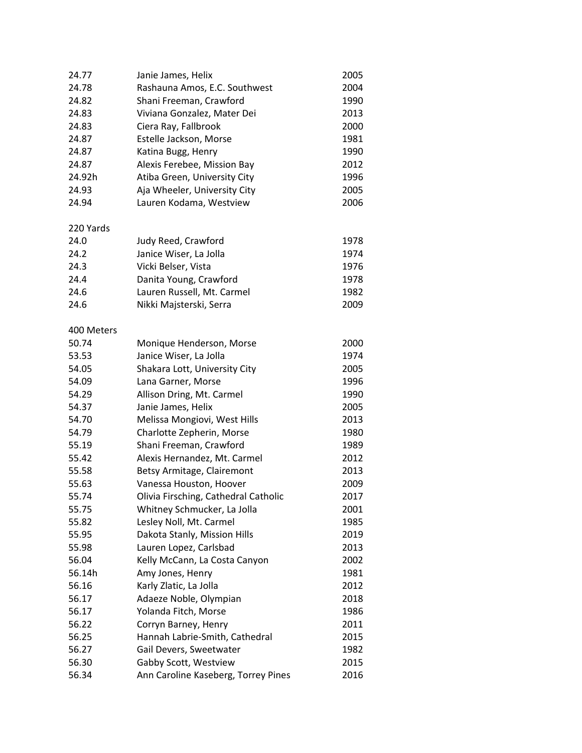| 24.77      | Janie James, Helix                   | 2005 |
|------------|--------------------------------------|------|
| 24.78      | Rashauna Amos, E.C. Southwest        | 2004 |
| 24.82      | Shani Freeman, Crawford              | 1990 |
| 24.83      | Viviana Gonzalez, Mater Dei          | 2013 |
| 24.83      | Ciera Ray, Fallbrook                 | 2000 |
| 24.87      | Estelle Jackson, Morse               | 1981 |
| 24.87      | Katina Bugg, Henry                   | 1990 |
| 24.87      | Alexis Ferebee, Mission Bay          | 2012 |
| 24.92h     | Atiba Green, University City         | 1996 |
| 24.93      | Aja Wheeler, University City         | 2005 |
| 24.94      | Lauren Kodama, Westview              | 2006 |
|            |                                      |      |
| 220 Yards  |                                      |      |
| 24.0       | Judy Reed, Crawford                  | 1978 |
| 24.2       | Janice Wiser, La Jolla               | 1974 |
| 24.3       | Vicki Belser, Vista                  | 1976 |
| 24.4       | Danita Young, Crawford               | 1978 |
| 24.6       | Lauren Russell, Mt. Carmel           | 1982 |
| 24.6       | Nikki Majsterski, Serra              | 2009 |
| 400 Meters |                                      |      |
| 50.74      | Monique Henderson, Morse             | 2000 |
| 53.53      | Janice Wiser, La Jolla               | 1974 |
| 54.05      | Shakara Lott, University City        | 2005 |
| 54.09      | Lana Garner, Morse                   | 1996 |
| 54.29      | Allison Dring, Mt. Carmel            | 1990 |
| 54.37      | Janie James, Helix                   | 2005 |
| 54.70      | Melissa Mongiovi, West Hills         | 2013 |
| 54.79      | Charlotte Zepherin, Morse            | 1980 |
| 55.19      | Shani Freeman, Crawford              | 1989 |
| 55.42      | Alexis Hernandez, Mt. Carmel         | 2012 |
| 55.58      | Betsy Armitage, Clairemont           | 2013 |
| 55.63      | Vanessa Houston, Hoover              | 2009 |
| 55.74      | Olivia Firsching, Cathedral Catholic | 2017 |
| 55.75      | Whitney Schmucker, La Jolla          | 2001 |
| 55.82      | Lesley Noll, Mt. Carmel              | 1985 |
| 55.95      | Dakota Stanly, Mission Hills         | 2019 |
| 55.98      | Lauren Lopez, Carlsbad               | 2013 |
| 56.04      | Kelly McCann, La Costa Canyon        | 2002 |
| 56.14h     | Amy Jones, Henry                     | 1981 |
| 56.16      | Karly Zlatic, La Jolla               | 2012 |
| 56.17      | Adaeze Noble, Olympian               | 2018 |
| 56.17      | Yolanda Fitch, Morse                 | 1986 |
| 56.22      | Corryn Barney, Henry                 | 2011 |
| 56.25      | Hannah Labrie-Smith, Cathedral       | 2015 |
| 56.27      | Gail Devers, Sweetwater              | 1982 |
| 56.30      | Gabby Scott, Westview                | 2015 |
| 56.34      | Ann Caroline Kaseberg, Torrey Pines  | 2016 |
|            |                                      |      |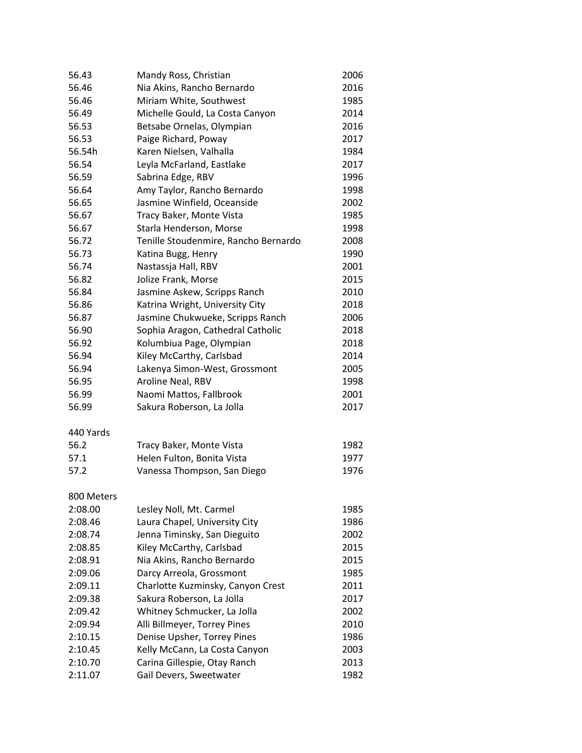| 56.43      | Mandy Ross, Christian                | 2006 |
|------------|--------------------------------------|------|
| 56.46      | Nia Akins, Rancho Bernardo           | 2016 |
| 56.46      | Miriam White, Southwest              | 1985 |
| 56.49      | Michelle Gould, La Costa Canyon      | 2014 |
| 56.53      | Betsabe Ornelas, Olympian            | 2016 |
| 56.53      | Paige Richard, Poway                 | 2017 |
| 56.54h     | Karen Nielsen, Valhalla              | 1984 |
| 56.54      | Leyla McFarland, Eastlake            | 2017 |
| 56.59      | Sabrina Edge, RBV                    | 1996 |
| 56.64      | Amy Taylor, Rancho Bernardo          | 1998 |
| 56.65      | Jasmine Winfield, Oceanside          | 2002 |
| 56.67      | Tracy Baker, Monte Vista             | 1985 |
| 56.67      | Starla Henderson, Morse              | 1998 |
| 56.72      | Tenille Stoudenmire, Rancho Bernardo | 2008 |
| 56.73      | Katina Bugg, Henry                   | 1990 |
| 56.74      | Nastassja Hall, RBV                  | 2001 |
| 56.82      | Jolize Frank, Morse                  | 2015 |
| 56.84      | Jasmine Askew, Scripps Ranch         | 2010 |
| 56.86      | Katrina Wright, University City      | 2018 |
| 56.87      | Jasmine Chukwueke, Scripps Ranch     | 2006 |
| 56.90      | Sophia Aragon, Cathedral Catholic    | 2018 |
| 56.92      | Kolumbiua Page, Olympian             | 2018 |
| 56.94      | Kiley McCarthy, Carlsbad             | 2014 |
| 56.94      | Lakenya Simon-West, Grossmont        | 2005 |
| 56.95      | Aroline Neal, RBV                    | 1998 |
| 56.99      | Naomi Mattos, Fallbrook              | 2001 |
| 56.99      | Sakura Roberson, La Jolla            | 2017 |
| 440 Yards  |                                      |      |
| 56.2       | Tracy Baker, Monte Vista             | 1982 |
| 57.1       | Helen Fulton, Bonita Vista           | 1977 |
| 57.2       | Vanessa Thompson, San Diego          | 1976 |
| 800 Meters |                                      |      |
| 2:08.00    | Lesley Noll, Mt. Carmel              | 1985 |
| 2:08.46    | Laura Chapel, University City        | 1986 |
| 2:08.74    | Jenna Timinsky, San Dieguito         | 2002 |
| 2:08.85    | Kiley McCarthy, Carlsbad             | 2015 |
| 2:08.91    | Nia Akins, Rancho Bernardo           | 2015 |
| 2:09.06    | Darcy Arreola, Grossmont             | 1985 |
| 2:09.11    | Charlotte Kuzminsky, Canyon Crest    | 2011 |
| 2:09.38    | Sakura Roberson, La Jolla            | 2017 |
| 2:09.42    | Whitney Schmucker, La Jolla          | 2002 |
| 2:09.94    | Alli Billmeyer, Torrey Pines         | 2010 |
| 2:10.15    | Denise Upsher, Torrey Pines          | 1986 |
| 2:10.45    | Kelly McCann, La Costa Canyon        | 2003 |
| 2:10.70    | Carina Gillespie, Otay Ranch         | 2013 |
| 2:11.07    | Gail Devers, Sweetwater              | 1982 |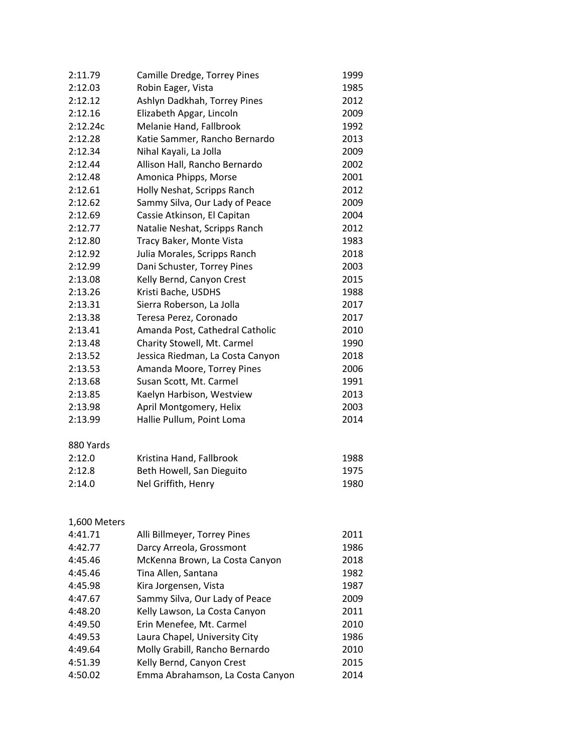| 2:11.79      | Camille Dredge, Torrey Pines     | 1999 |
|--------------|----------------------------------|------|
| 2:12.03      | Robin Eager, Vista               | 1985 |
| 2:12.12      | Ashlyn Dadkhah, Torrey Pines     | 2012 |
| 2:12.16      | Elizabeth Apgar, Lincoln         | 2009 |
| 2:12.24c     | Melanie Hand, Fallbrook          | 1992 |
| 2:12.28      | Katie Sammer, Rancho Bernardo    | 2013 |
| 2:12.34      | Nihal Kayali, La Jolla           | 2009 |
| 2:12.44      | Allison Hall, Rancho Bernardo    | 2002 |
| 2:12.48      | Amonica Phipps, Morse            | 2001 |
| 2:12.61      | Holly Neshat, Scripps Ranch      | 2012 |
| 2:12.62      | Sammy Silva, Our Lady of Peace   | 2009 |
| 2:12.69      | Cassie Atkinson, El Capitan      | 2004 |
| 2:12.77      | Natalie Neshat, Scripps Ranch    | 2012 |
| 2:12.80      | Tracy Baker, Monte Vista         | 1983 |
| 2:12.92      | Julia Morales, Scripps Ranch     | 2018 |
| 2:12.99      | Dani Schuster, Torrey Pines      | 2003 |
| 2:13.08      | Kelly Bernd, Canyon Crest        | 2015 |
| 2:13.26      | Kristi Bache, USDHS              | 1988 |
| 2:13.31      | Sierra Roberson, La Jolla        | 2017 |
| 2:13.38      | Teresa Perez, Coronado           | 2017 |
| 2:13.41      | Amanda Post, Cathedral Catholic  | 2010 |
| 2:13.48      | Charity Stowell, Mt. Carmel      | 1990 |
| 2:13.52      | Jessica Riedman, La Costa Canyon | 2018 |
| 2:13.53      | Amanda Moore, Torrey Pines       | 2006 |
| 2:13.68      | Susan Scott, Mt. Carmel          | 1991 |
| 2:13.85      | Kaelyn Harbison, Westview        | 2013 |
| 2:13.98      | April Montgomery, Helix          | 2003 |
| 2:13.99      | Hallie Pullum, Point Loma        | 2014 |
| 880 Yards    |                                  |      |
| 2:12.0       | Kristina Hand, Fallbrook         | 1988 |
| 2:12.8       | Beth Howell, San Dieguito        | 1975 |
| 2:14.0       | Nel Griffith, Henry              | 1980 |
| 1,600 Meters |                                  |      |
| 4:41.71      | Alli Billmeyer, Torrey Pines     | 2011 |
| 4:42.77      | Darcy Arreola, Grossmont         | 1986 |
| 4:45.46      | McKenna Brown, La Costa Canyon   | 2018 |
| 4:45.46      | Tina Allen, Santana              | 1982 |
| 4:45.98      | Kira Jorgensen, Vista            | 1987 |
| 4:47.67      | Sammy Silva, Our Lady of Peace   | 2009 |
| 4:48.20      | Kelly Lawson, La Costa Canyon    | 2011 |
| 4:49.50      | Erin Menefee, Mt. Carmel         | 2010 |
| 4:49.53      | Laura Chapel, University City    | 1986 |
| 4:49.64      | Molly Grabill, Rancho Bernardo   | 2010 |
| 4:51.39      | Kelly Bernd, Canyon Crest        | 2015 |
| 4:50.02      | Emma Abrahamson, La Costa Canyon | 2014 |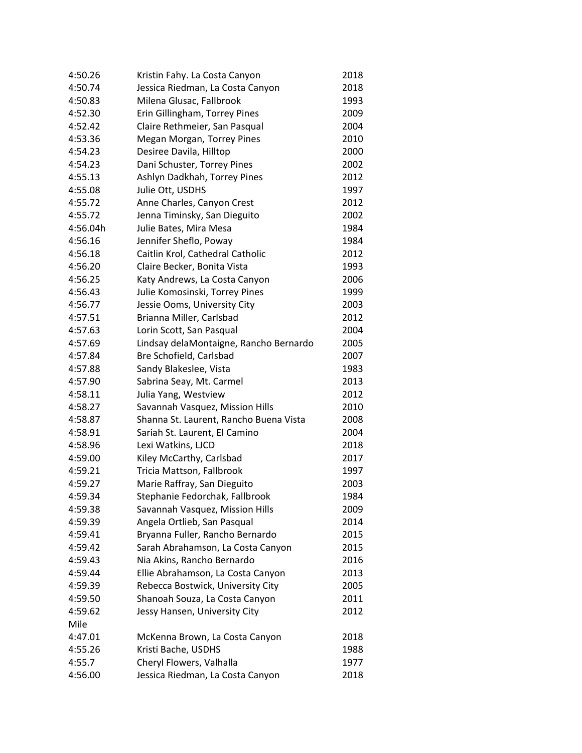| 4:50.26  | Kristin Fahy. La Costa Canyon          | 2018 |
|----------|----------------------------------------|------|
| 4:50.74  | Jessica Riedman, La Costa Canyon       | 2018 |
| 4:50.83  | Milena Glusac, Fallbrook               | 1993 |
| 4:52.30  | Erin Gillingham, Torrey Pines          | 2009 |
| 4:52.42  | Claire Rethmeier, San Pasqual          | 2004 |
| 4:53.36  | Megan Morgan, Torrey Pines             | 2010 |
| 4:54.23  | Desiree Davila, Hilltop                | 2000 |
| 4:54.23  | Dani Schuster, Torrey Pines            | 2002 |
| 4:55.13  | Ashlyn Dadkhah, Torrey Pines           | 2012 |
| 4:55.08  | Julie Ott, USDHS                       | 1997 |
| 4:55.72  | Anne Charles, Canyon Crest             | 2012 |
| 4:55.72  | Jenna Timinsky, San Dieguito           | 2002 |
| 4:56.04h | Julie Bates, Mira Mesa                 | 1984 |
| 4:56.16  | Jennifer Sheflo, Poway                 | 1984 |
| 4:56.18  | Caitlin Krol, Cathedral Catholic       | 2012 |
| 4:56.20  | Claire Becker, Bonita Vista            | 1993 |
| 4:56.25  | Katy Andrews, La Costa Canyon          | 2006 |
| 4:56.43  | Julie Komosinski, Torrey Pines         | 1999 |
| 4:56.77  | Jessie Ooms, University City           | 2003 |
| 4:57.51  | Brianna Miller, Carlsbad               | 2012 |
| 4:57.63  | Lorin Scott, San Pasqual               | 2004 |
| 4:57.69  | Lindsay delaMontaigne, Rancho Bernardo | 2005 |
| 4:57.84  | Bre Schofield, Carlsbad                | 2007 |
| 4:57.88  | Sandy Blakeslee, Vista                 | 1983 |
| 4:57.90  | Sabrina Seay, Mt. Carmel               | 2013 |
| 4:58.11  | Julia Yang, Westview                   | 2012 |
| 4:58.27  | Savannah Vasquez, Mission Hills        | 2010 |
| 4:58.87  | Shanna St. Laurent, Rancho Buena Vista | 2008 |
| 4:58.91  | Sariah St. Laurent, El Camino          | 2004 |
| 4:58.96  | Lexi Watkins, LJCD                     | 2018 |
| 4:59.00  | Kiley McCarthy, Carlsbad               | 2017 |
| 4:59.21  | Tricia Mattson, Fallbrook              | 1997 |
| 4:59.27  | Marie Raffray, San Dieguito            | 2003 |
| 4:59.34  | Stephanie Fedorchak, Fallbrook         | 1984 |
| 4:59.38  | Savannah Vasquez, Mission Hills        | 2009 |
| 4:59.39  | Angela Ortlieb, San Pasqual            | 2014 |
| 4:59.41  | Bryanna Fuller, Rancho Bernardo        | 2015 |
| 4:59.42  | Sarah Abrahamson, La Costa Canyon      | 2015 |
| 4:59.43  | Nia Akins, Rancho Bernardo             | 2016 |
| 4:59.44  | Ellie Abrahamson, La Costa Canyon      | 2013 |
| 4:59.39  | Rebecca Bostwick, University City      | 2005 |
| 4:59.50  | Shanoah Souza, La Costa Canyon         | 2011 |
| 4:59.62  | Jessy Hansen, University City          | 2012 |
| Mile     |                                        |      |
| 4:47.01  | McKenna Brown, La Costa Canyon         | 2018 |
| 4:55.26  | Kristi Bache, USDHS                    | 1988 |
| 4:55.7   | Cheryl Flowers, Valhalla               | 1977 |
| 4:56.00  | Jessica Riedman, La Costa Canyon       | 2018 |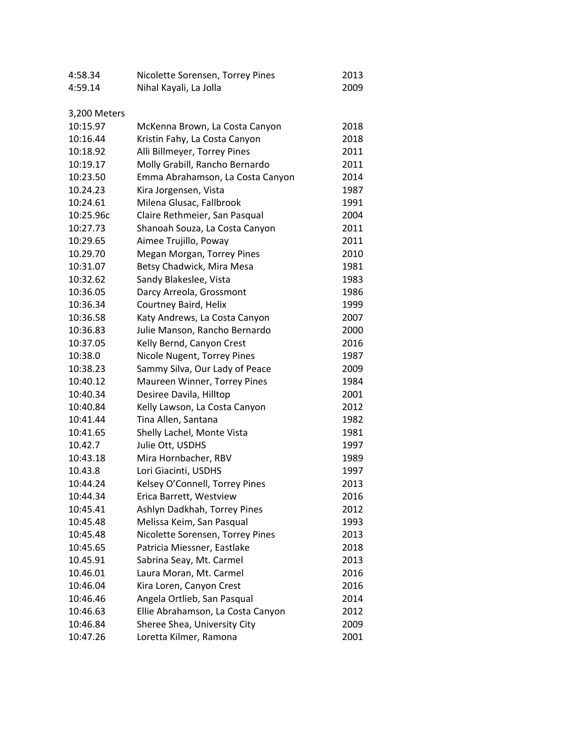| 4:58.34      | Nicolette Sorensen, Torrey Pines  | 2013 |
|--------------|-----------------------------------|------|
| 4:59.14      | Nihal Kayali, La Jolla            | 2009 |
|              |                                   |      |
| 3,200 Meters |                                   |      |
| 10:15.97     | McKenna Brown, La Costa Canyon    | 2018 |
| 10:16.44     | Kristin Fahy, La Costa Canyon     | 2018 |
| 10:18.92     | Alli Billmeyer, Torrey Pines      | 2011 |
| 10:19.17     | Molly Grabill, Rancho Bernardo    | 2011 |
| 10:23.50     | Emma Abrahamson, La Costa Canyon  | 2014 |
| 10.24.23     | Kira Jorgensen, Vista             | 1987 |
| 10:24.61     | Milena Glusac, Fallbrook          | 1991 |
| 10:25.96c    | Claire Rethmeier, San Pasqual     | 2004 |
| 10:27.73     | Shanoah Souza, La Costa Canyon    | 2011 |
| 10:29.65     | Aimee Trujillo, Poway             | 2011 |
| 10.29.70     | Megan Morgan, Torrey Pines        | 2010 |
| 10:31.07     | Betsy Chadwick, Mira Mesa         | 1981 |
| 10:32.62     | Sandy Blakeslee, Vista            | 1983 |
| 10:36.05     | Darcy Arreola, Grossmont          | 1986 |
| 10:36.34     | Courtney Baird, Helix             | 1999 |
| 10:36.58     | Katy Andrews, La Costa Canyon     | 2007 |
| 10:36.83     | Julie Manson, Rancho Bernardo     | 2000 |
| 10:37.05     | Kelly Bernd, Canyon Crest         | 2016 |
| 10:38.0      | Nicole Nugent, Torrey Pines       | 1987 |
| 10:38.23     | Sammy Silva, Our Lady of Peace    | 2009 |
| 10:40.12     | Maureen Winner, Torrey Pines      | 1984 |
| 10:40.34     | Desiree Davila, Hilltop           | 2001 |
| 10:40.84     | Kelly Lawson, La Costa Canyon     | 2012 |
| 10:41.44     | Tina Allen, Santana               | 1982 |
| 10:41.65     | Shelly Lachel, Monte Vista        | 1981 |
| 10.42.7      | Julie Ott, USDHS                  | 1997 |
| 10:43.18     | Mira Hornbacher, RBV              | 1989 |
| 10.43.8      | Lori Giacinti, USDHS              | 1997 |
| 10:44.24     | Kelsey O'Connell, Torrey Pines    | 2013 |
| 10:44.34     | Erica Barrett, Westview           | 2016 |
| 10:45.41     | Ashlyn Dadkhah, Torrey Pines      | 2012 |
| 10:45.48     | Melissa Keim, San Pasqual         | 1993 |
| 10:45.48     | Nicolette Sorensen, Torrey Pines  | 2013 |
| 10:45.65     | Patricia Miessner, Eastlake       | 2018 |
| 10.45.91     | Sabrina Seay, Mt. Carmel          | 2013 |
| 10.46.01     | Laura Moran, Mt. Carmel           | 2016 |
| 10:46.04     | Kira Loren, Canyon Crest          | 2016 |
| 10:46.46     | Angela Ortlieb, San Pasqual       | 2014 |
| 10:46.63     | Ellie Abrahamson, La Costa Canyon | 2012 |
| 10:46.84     | Sheree Shea, University City      | 2009 |
| 10:47.26     | Loretta Kilmer, Ramona            | 2001 |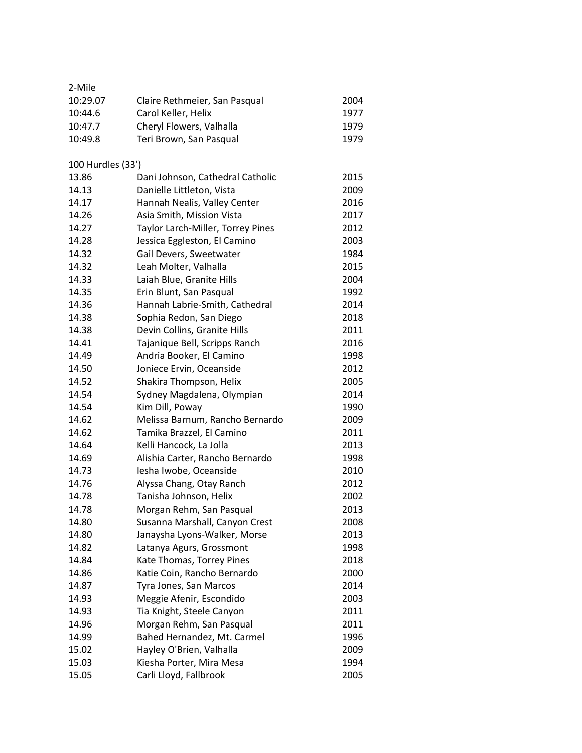| 2-Mile                                     |      |
|--------------------------------------------|------|
| 10:29.07<br>Claire Rethmeier, San Pasqual  | 2004 |
| Carol Keller, Helix<br>10:44.6             | 1977 |
| 10:47.7<br>Cheryl Flowers, Valhalla        | 1979 |
| 10:49.8<br>Teri Brown, San Pasqual         | 1979 |
|                                            |      |
| 100 Hurdles (33')                          |      |
| 13.86<br>Dani Johnson, Cathedral Catholic  | 2015 |
| Danielle Littleton, Vista<br>14.13         | 2009 |
| 14.17<br>Hannah Nealis, Valley Center      | 2016 |
| Asia Smith, Mission Vista<br>14.26         | 2017 |
| 14.27<br>Taylor Larch-Miller, Torrey Pines | 2012 |
| 14.28<br>Jessica Eggleston, El Camino      | 2003 |
| 14.32<br>Gail Devers, Sweetwater           | 1984 |
| 14.32<br>Leah Molter, Valhalla             | 2015 |
| 14.33<br>Laiah Blue, Granite Hills         | 2004 |
| 14.35<br>Erin Blunt, San Pasqual           | 1992 |
| Hannah Labrie-Smith, Cathedral<br>14.36    | 2014 |
| 14.38<br>Sophia Redon, San Diego           | 2018 |
| Devin Collins, Granite Hills<br>14.38      | 2011 |
| 14.41<br>Tajanique Bell, Scripps Ranch     | 2016 |
| 14.49<br>Andria Booker, El Camino          | 1998 |
| 14.50<br>Joniece Ervin, Oceanside          | 2012 |
| 14.52<br>Shakira Thompson, Helix           | 2005 |
| 14.54<br>Sydney Magdalena, Olympian        | 2014 |
| 14.54<br>Kim Dill, Poway                   | 1990 |
| 14.62<br>Melissa Barnum, Rancho Bernardo   | 2009 |
| 14.62<br>Tamika Brazzel, El Camino         | 2011 |
| 14.64<br>Kelli Hancock, La Jolla           | 2013 |
| 14.69<br>Alishia Carter, Rancho Bernardo   | 1998 |
| 14.73<br>Iesha Iwobe, Oceanside            | 2010 |
| 14.76<br>Alyssa Chang, Otay Ranch          | 2012 |
| 14.78<br>Tanisha Johnson, Helix            | 2002 |
| 14.78<br>Morgan Rehm, San Pasqual          | 2013 |
| 14.80<br>Susanna Marshall, Canyon Crest    | 2008 |
| 14.80<br>Janaysha Lyons-Walker, Morse      | 2013 |
| 14.82<br>Latanya Agurs, Grossmont          | 1998 |
| 14.84<br>Kate Thomas, Torrey Pines         | 2018 |
| 14.86<br>Katie Coin, Rancho Bernardo       | 2000 |
| 14.87<br>Tyra Jones, San Marcos            | 2014 |
| Meggie Afenir, Escondido<br>14.93          | 2003 |
| 14.93<br>Tia Knight, Steele Canyon         | 2011 |
| Morgan Rehm, San Pasqual<br>14.96          | 2011 |
| 14.99<br>Bahed Hernandez, Mt. Carmel       | 1996 |
| 15.02<br>Hayley O'Brien, Valhalla          | 2009 |
| 15.03<br>Kiesha Porter, Mira Mesa          | 1994 |
| Carli Lloyd, Fallbrook<br>15.05            | 2005 |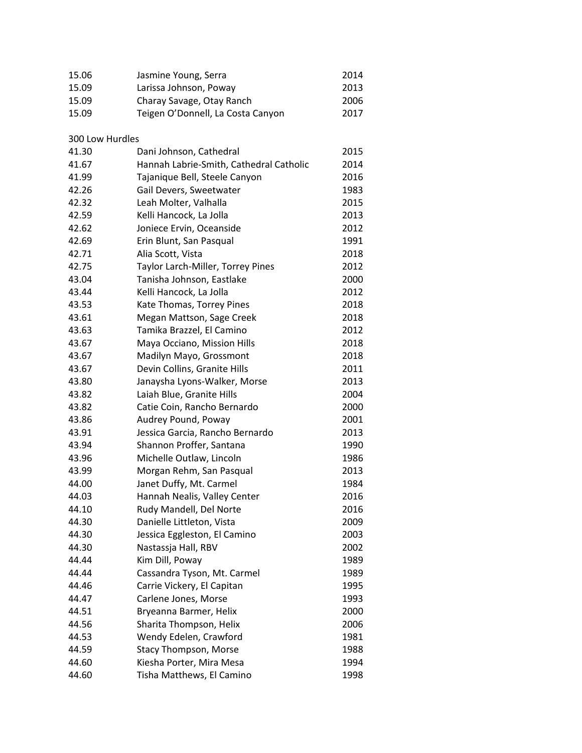| 15.06           | Jasmine Young, Serra                    | 2014 |
|-----------------|-----------------------------------------|------|
| 15.09           | Larissa Johnson, Poway                  | 2013 |
| 15.09           | Charay Savage, Otay Ranch               | 2006 |
| 15.09           | Teigen O'Donnell, La Costa Canyon       | 2017 |
|                 |                                         |      |
| 300 Low Hurdles |                                         |      |
| 41.30           | Dani Johnson, Cathedral                 | 2015 |
| 41.67           | Hannah Labrie-Smith, Cathedral Catholic | 2014 |
| 41.99           | Tajanique Bell, Steele Canyon           | 2016 |
| 42.26           | Gail Devers, Sweetwater                 | 1983 |
| 42.32           | Leah Molter, Valhalla                   | 2015 |
| 42.59           | Kelli Hancock, La Jolla                 | 2013 |
| 42.62           | Joniece Ervin, Oceanside                | 2012 |
| 42.69           | Erin Blunt, San Pasqual                 | 1991 |
| 42.71           | Alia Scott, Vista                       | 2018 |
| 42.75           | Taylor Larch-Miller, Torrey Pines       | 2012 |
| 43.04           | Tanisha Johnson, Eastlake               | 2000 |
| 43.44           | Kelli Hancock, La Jolla                 | 2012 |
| 43.53           | Kate Thomas, Torrey Pines               | 2018 |
| 43.61           | Megan Mattson, Sage Creek               | 2018 |
| 43.63           | Tamika Brazzel, El Camino               | 2012 |
| 43.67           | Maya Occiano, Mission Hills             | 2018 |
| 43.67           | Madilyn Mayo, Grossmont                 | 2018 |
| 43.67           | Devin Collins, Granite Hills            | 2011 |
| 43.80           | Janaysha Lyons-Walker, Morse            | 2013 |
| 43.82           | Laiah Blue, Granite Hills               | 2004 |
| 43.82           | Catie Coin, Rancho Bernardo             | 2000 |
| 43.86           | Audrey Pound, Poway                     | 2001 |
| 43.91           | Jessica Garcia, Rancho Bernardo         | 2013 |
| 43.94           | Shannon Proffer, Santana                | 1990 |
| 43.96           | Michelle Outlaw, Lincoln                | 1986 |
| 43.99           | Morgan Rehm, San Pasqual                | 2013 |
| 44.00           | Janet Duffy, Mt. Carmel                 | 1984 |
| 44.03           | Hannah Nealis, Valley Center            | 2016 |
| 44.10           | Rudy Mandell, Del Norte                 | 2016 |
| 44.30           | Danielle Littleton, Vista               | 2009 |
| 44.30           | Jessica Eggleston, El Camino            | 2003 |
| 44.30           | Nastassja Hall, RBV                     | 2002 |
| 44.44           | Kim Dill, Poway                         | 1989 |
| 44.44           | Cassandra Tyson, Mt. Carmel             | 1989 |
| 44.46           | Carrie Vickery, El Capitan              | 1995 |
| 44.47           | Carlene Jones, Morse                    | 1993 |
| 44.51           | Bryeanna Barmer, Helix                  | 2000 |
| 44.56           | Sharita Thompson, Helix                 | 2006 |
| 44.53           | Wendy Edelen, Crawford                  | 1981 |
| 44.59           | <b>Stacy Thompson, Morse</b>            | 1988 |
| 44.60           | Kiesha Porter, Mira Mesa                | 1994 |
| 44.60           | Tisha Matthews, El Camino               | 1998 |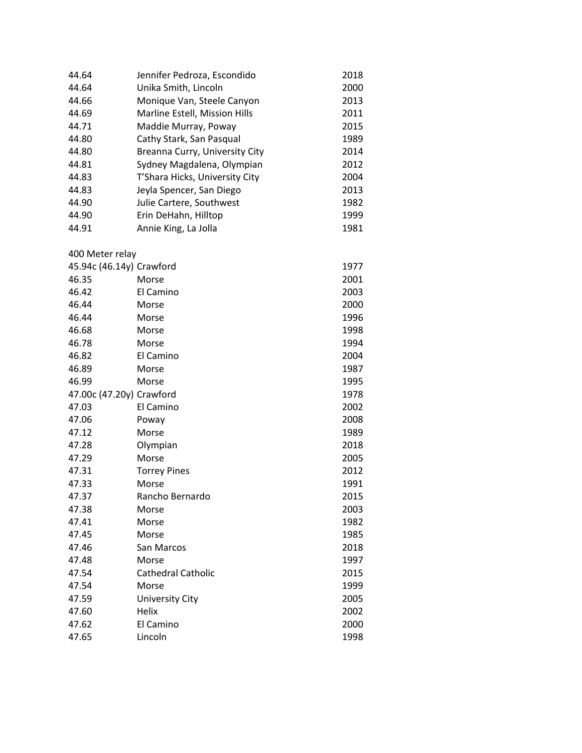| 44.64                    | Jennifer Pedroza, Escondido    | 2018 |
|--------------------------|--------------------------------|------|
| 44.64                    | Unika Smith, Lincoln           | 2000 |
| 44.66                    | Monique Van, Steele Canyon     | 2013 |
| 44.69                    | Marline Estell, Mission Hills  | 2011 |
| 44.71                    | Maddie Murray, Poway           | 2015 |
| 44.80                    | Cathy Stark, San Pasqual       | 1989 |
| 44.80                    | Breanna Curry, University City | 2014 |
| 44.81                    | Sydney Magdalena, Olympian     | 2012 |
| 44.83                    | T'Shara Hicks, University City | 2004 |
| 44.83                    | Jeyla Spencer, San Diego       | 2013 |
| 44.90                    | Julie Cartere, Southwest       | 1982 |
| 44.90                    | Erin DeHahn, Hilltop           | 1999 |
| 44.91                    | Annie King, La Jolla           | 1981 |
| 400 Meter relay          |                                |      |
| 45.94c (46.14y) Crawford |                                | 1977 |
| 46.35                    | Morse                          | 2001 |
| 46.42                    | El Camino                      | 2003 |
| 46.44                    | Morse                          | 2000 |
| 46.44                    | Morse                          | 1996 |
| 46.68                    | Morse                          | 1998 |
| 46.78                    | Morse                          | 1994 |
| 46.82                    | El Camino                      | 2004 |
| 46.89                    | Morse                          | 1987 |
| 46.99                    | Morse                          | 1995 |
| 47.00c (47.20y) Crawford |                                | 1978 |
| 47.03                    | El Camino                      | 2002 |
| 47.06                    | Poway                          | 2008 |
| 47.12                    | Morse                          | 1989 |
| 47.28                    | Olympian                       | 2018 |
| 47.29                    | Morse                          | 2005 |
| 47.31                    | <b>Torrey Pines</b>            | 2012 |
| 47.33                    | Morse                          | 1991 |
| 47.37                    | Rancho Bernardo                | 2015 |
| 47.38                    | Morse                          | 2003 |
| 47.41                    | Morse                          | 1982 |
| 47.45                    | Morse                          | 1985 |
| 47.46                    | San Marcos                     | 2018 |
| 47.48                    | Morse                          | 1997 |
| 47.54                    | <b>Cathedral Catholic</b>      | 2015 |
| 47.54                    | Morse                          | 1999 |
| 47.59                    | <b>University City</b>         | 2005 |
| 47.60                    | Helix                          | 2002 |
| 47.62                    | El Camino                      | 2000 |
| 47.65                    | Lincoln                        | 1998 |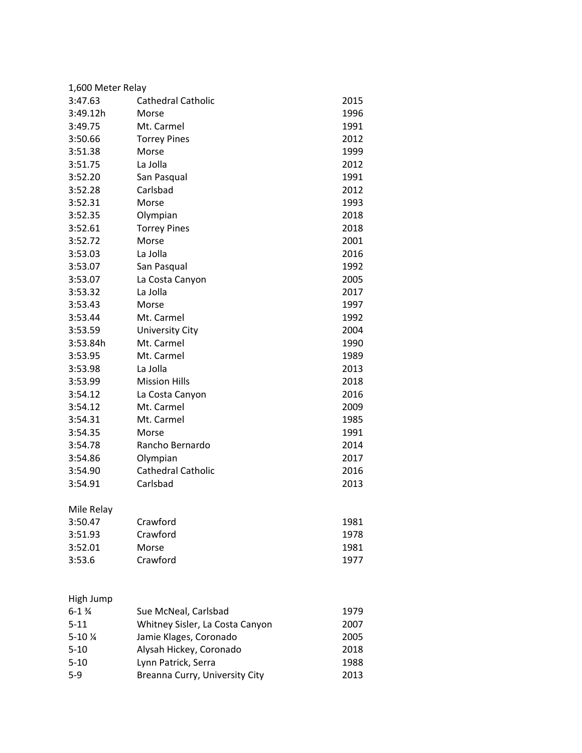| 1,600 Meter Relay  |                                 |      |  |
|--------------------|---------------------------------|------|--|
| 3:47.63            | Cathedral Catholic              | 2015 |  |
| 3:49.12h           | Morse                           | 1996 |  |
| 3:49.75            | Mt. Carmel                      | 1991 |  |
| 3:50.66            | <b>Torrey Pines</b>             | 2012 |  |
| 3:51.38            | Morse                           | 1999 |  |
| 3:51.75            | La Jolla                        | 2012 |  |
| 3:52.20            | San Pasqual                     | 1991 |  |
| 3:52.28            | Carlsbad                        | 2012 |  |
| 3:52.31            | Morse                           | 1993 |  |
| 3:52.35            | Olympian                        | 2018 |  |
| 3:52.61            | <b>Torrey Pines</b>             | 2018 |  |
| 3:52.72            | Morse                           | 2001 |  |
| 3:53.03            | La Jolla                        | 2016 |  |
| 3:53.07            | San Pasqual                     | 1992 |  |
| 3:53.07            | La Costa Canyon                 | 2005 |  |
| 3:53.32            | La Jolla                        | 2017 |  |
| 3:53.43            | Morse                           | 1997 |  |
| 3:53.44            | Mt. Carmel                      | 1992 |  |
| 3:53.59            | <b>University City</b>          | 2004 |  |
| 3:53.84h           | Mt. Carmel                      | 1990 |  |
| 3:53.95            | Mt. Carmel                      | 1989 |  |
| 3:53.98            | La Jolla                        | 2013 |  |
| 3:53.99            | <b>Mission Hills</b>            | 2018 |  |
| 3:54.12            | La Costa Canyon                 | 2016 |  |
| 3:54.12            | Mt. Carmel                      | 2009 |  |
| 3:54.31            | Mt. Carmel                      | 1985 |  |
| 3:54.35            | Morse                           | 1991 |  |
| 3:54.78            | Rancho Bernardo                 | 2014 |  |
| 3:54.86            | Olympian                        | 2017 |  |
| 3:54.90            | <b>Cathedral Catholic</b>       | 2016 |  |
| 3:54.91            | Carlsbad                        | 2013 |  |
| Mile Relay         |                                 |      |  |
| 3:50.47            | Crawford                        | 1981 |  |
| 3:51.93            | Crawford                        | 1978 |  |
| 3:52.01            | Morse                           | 1981 |  |
| 3:53.6             | Crawford                        | 1977 |  |
|                    |                                 |      |  |
| High Jump          |                                 |      |  |
| $6 - 1\frac{3}{4}$ | Sue McNeal, Carlsbad            | 1979 |  |
| $5 - 11$           | Whitney Sisler, La Costa Canyon | 2007 |  |
| 5-10 %             | Jamie Klages, Coronado          | 2005 |  |
| $5 - 10$           | Alysah Hickey, Coronado         | 2018 |  |
| $5 - 10$           | Lynn Patrick, Serra             | 1988 |  |

5-10 Lynn Patrick, Serra<br>5-9 Breanna Curry, University City 2013 Breanna Curry, University City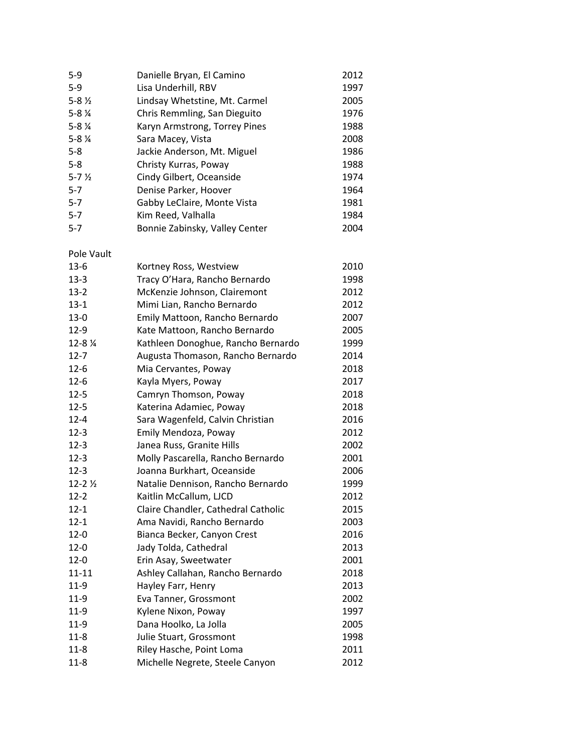| $5-9$              | Danielle Bryan, El Camino      | 2012 |
|--------------------|--------------------------------|------|
| $5 - 9$            | Lisa Underhill, RBV            | 1997 |
| $5 - 8\frac{1}{2}$ | Lindsay Whetstine, Mt. Carmel  | 2005 |
| $5 - 8\frac{1}{4}$ | Chris Remmling, San Dieguito   | 1976 |
| $5 - 8\frac{1}{4}$ | Karyn Armstrong, Torrey Pines  | 1988 |
| $5 - 8\frac{1}{4}$ | Sara Macey, Vista              | 2008 |
| $5 - 8$            | Jackie Anderson, Mt. Miguel    | 1986 |
| $5 - 8$            | Christy Kurras, Poway          | 1988 |
| $5 - 7\frac{1}{2}$ | Cindy Gilbert, Oceanside       | 1974 |
| $5 - 7$            | Denise Parker, Hoover          | 1964 |
| $5 - 7$            | Gabby LeClaire, Monte Vista    | 1981 |
| $5 - 7$            | Kim Reed, Valhalla             | 1984 |
| $5 - 7$            | Bonnie Zabinsky, Valley Center | 2004 |

Pole Vault

| $13-6$      | Kortney Ross, Westview              | 2010 |
|-------------|-------------------------------------|------|
| $13 - 3$    | Tracy O'Hara, Rancho Bernardo       | 1998 |
| $13-2$      | McKenzie Johnson, Clairemont        | 2012 |
| $13 - 1$    | Mimi Lian, Rancho Bernardo          | 2012 |
| $13-0$      | Emily Mattoon, Rancho Bernardo      | 2007 |
| $12-9$      | Kate Mattoon, Rancho Bernardo       | 2005 |
| 12-8 %      | Kathleen Donoghue, Rancho Bernardo  | 1999 |
| $12 - 7$    | Augusta Thomason, Rancho Bernardo   | 2014 |
| $12 - 6$    | Mia Cervantes, Poway                | 2018 |
| $12 - 6$    | Kayla Myers, Poway                  | 2017 |
| $12 - 5$    | Camryn Thomson, Poway               | 2018 |
| $12 - 5$    | Katerina Adamiec, Poway             | 2018 |
| $12 - 4$    | Sara Wagenfeld, Calvin Christian    | 2016 |
| $12-3$      | Emily Mendoza, Poway                | 2012 |
| $12 - 3$    | Janea Russ, Granite Hills           | 2002 |
| $12 - 3$    | Molly Pascarella, Rancho Bernardo   | 2001 |
| $12 - 3$    | Joanna Burkhart, Oceanside          | 2006 |
| $12 - 21/2$ | Natalie Dennison, Rancho Bernardo   | 1999 |
| $12 - 2$    | Kaitlin McCallum, LJCD              | 2012 |
| $12 - 1$    | Claire Chandler, Cathedral Catholic | 2015 |
| $12 - 1$    | Ama Navidi, Rancho Bernardo         | 2003 |
| $12 - 0$    | Bianca Becker, Canyon Crest         | 2016 |
| $12 - 0$    | Jady Tolda, Cathedral               | 2013 |
| $12 - 0$    | Erin Asay, Sweetwater               | 2001 |
| $11 - 11$   | Ashley Callahan, Rancho Bernardo    | 2018 |
| $11-9$      | Hayley Farr, Henry                  | 2013 |
| $11-9$      | Eva Tanner, Grossmont               | 2002 |
| $11-9$      | Kylene Nixon, Poway                 | 1997 |
| $11-9$      | Dana Hoolko, La Jolla               | 2005 |
| $11 - 8$    | Julie Stuart, Grossmont             | 1998 |
| $11 - 8$    | Riley Hasche, Point Loma            | 2011 |
| $11 - 8$    | Michelle Negrete, Steele Canyon     | 2012 |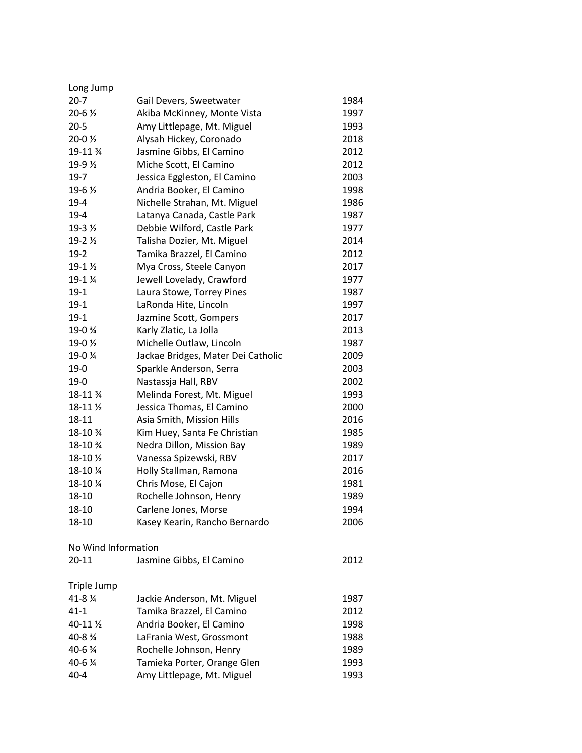| Long Jump           |                                    |      |
|---------------------|------------------------------------|------|
| $20-7$              | Gail Devers, Sweetwater            | 1984 |
| $20 - 6\frac{1}{2}$ | Akiba McKinney, Monte Vista        | 1997 |
| $20 - 5$            | Amy Littlepage, Mt. Miguel         | 1993 |
| $20-02$             | Alysah Hickey, Coronado            | 2018 |
| 19-11 %             | Jasmine Gibbs, El Camino           | 2012 |
| 19-9 $\frac{1}{2}$  | Miche Scott, El Camino             | 2012 |
| $19 - 7$            | Jessica Eggleston, El Camino       | 2003 |
| 19-6 1/2            | Andria Booker, El Camino           | 1998 |
| $19-4$              | Nichelle Strahan, Mt. Miguel       | 1986 |
| $19-4$              | Latanya Canada, Castle Park        | 1987 |
| 19-3 $\frac{1}{2}$  | Debbie Wilford, Castle Park        | 1977 |
| 19-2 $\frac{1}{2}$  | Talisha Dozier, Mt. Miguel         | 2014 |
| $19-2$              | Tamika Brazzel, El Camino          | 2012 |
| $19-12$             | Mya Cross, Steele Canyon           | 2017 |
| 19-1 %              | Jewell Lovelady, Crawford          | 1977 |
| $19-1$              | Laura Stowe, Torrey Pines          | 1987 |
| $19-1$              | LaRonda Hite, Lincoln              | 1997 |
| $19-1$              | Jazmine Scott, Gompers             | 2017 |
| 19-0 %              | Karly Zlatic, La Jolla             | 2013 |
| 19-0 1/2            | Michelle Outlaw, Lincoln           | 1987 |
| 19-0 %              | Jackae Bridges, Mater Dei Catholic | 2009 |
| $19-0$              | Sparkle Anderson, Serra            | 2003 |
| $19-0$              | Nastassja Hall, RBV                | 2002 |
| 18-11 %             | Melinda Forest, Mt. Miguel         | 1993 |
| 18-11 1/2           | Jessica Thomas, El Camino          | 2000 |
| 18-11               | Asia Smith, Mission Hills          | 2016 |
| 18-10 %             | Kim Huey, Santa Fe Christian       | 1985 |
| 18-10 %             | Nedra Dillon, Mission Bay          | 1989 |
| 18-10 $\frac{1}{2}$ | Vanessa Spizewski, RBV             | 2017 |
| 18-10 %             | Holly Stallman, Ramona             | 2016 |
| 18-10 %             | Chris Mose, El Cajon               | 1981 |
| 18-10               | Rochelle Johnson, Henry            | 1989 |
| 18-10               | Carlene Jones, Morse               | 1994 |
| 18-10               | Kasey Kearin, Rancho Bernardo      | 2006 |
| No Wind Information |                                    |      |
| $20 - 11$           | Jasmine Gibbs, El Camino           | 2012 |
| Triple Jump         |                                    |      |
| 41-8 %              | Jackie Anderson, Mt. Miguel        | 1987 |
| $41 - 1$            | Tamika Brazzel, El Camino          | 2012 |
| 40-11 1/2           | Andria Booker, El Camino           | 1998 |
| 40-8 %              | LaFrania West, Grossmont           | 1988 |
| 40-6 3⁄4            | Rochelle Johnson, Henry            | 1989 |
| 40-6 %              | Tamieka Porter, Orange Glen        | 1993 |
| $40 - 4$            | Amy Littlepage, Mt. Miguel         | 1993 |
|                     |                                    |      |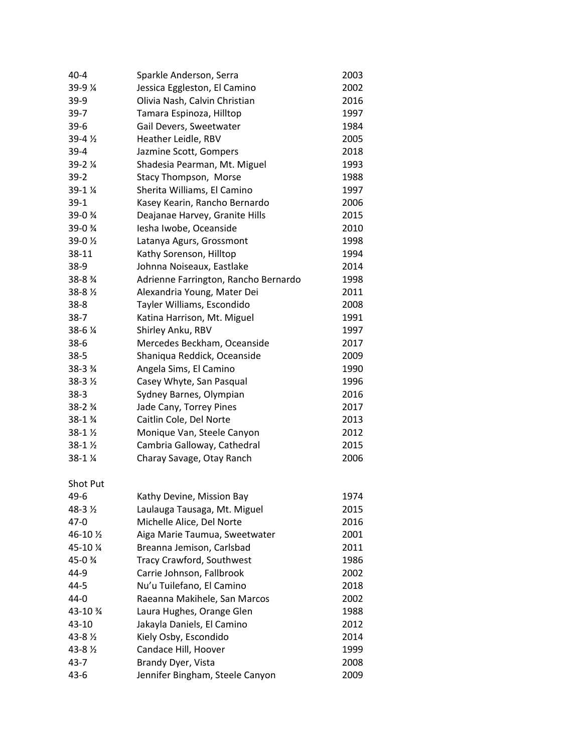| $40 - 4$            | Sparkle Anderson, Serra              | 2003 |
|---------------------|--------------------------------------|------|
| 39-9 %              | Jessica Eggleston, El Camino         | 2002 |
| $39-9$              | Olivia Nash, Calvin Christian        | 2016 |
| $39-7$              | Tamara Espinoza, Hilltop             | 1997 |
| $39-6$              | Gail Devers, Sweetwater              | 1984 |
| 39-4 1/2            | Heather Leidle, RBV                  | 2005 |
| $39 - 4$            | Jazmine Scott, Gompers               | 2018 |
| 39-2 %              | Shadesia Pearman, Mt. Miguel         | 1993 |
| $39 - 2$            | Stacy Thompson, Morse                | 1988 |
| 39-1 %              | Sherita Williams, El Camino          | 1997 |
| $39-1$              | Kasey Kearin, Rancho Bernardo        | 2006 |
| 39-0 %              | Deajanae Harvey, Granite Hills       | 2015 |
| 39-0 %              | Iesha Iwobe, Oceanside               | 2010 |
| 39-0 1/2            | Latanya Agurs, Grossmont             | 1998 |
| 38-11               | Kathy Sorenson, Hilltop              | 1994 |
| $38-9$              | Johnna Noiseaux, Eastlake            | 2014 |
| 38-8 %              | Adrienne Farrington, Rancho Bernardo | 1998 |
| $38 - 8\frac{1}{2}$ | Alexandria Young, Mater Dei          | 2011 |
| $38 - 8$            | Tayler Williams, Escondido           | 2008 |
| $38-7$              | Katina Harrison, Mt. Miguel          | 1991 |
| 38-6 %              | Shirley Anku, RBV                    | 1997 |
| $38-6$              | Mercedes Beckham, Oceanside          | 2017 |
| $38 - 5$            | Shaniqua Reddick, Oceanside          | 2009 |
| 38-3 %              | Angela Sims, El Camino               | 1990 |
| 38-3 1/2            | Casey Whyte, San Pasqual             | 1996 |
| $38-3$              | Sydney Barnes, Olympian              | 2016 |
| $38 - 2\frac{3}{4}$ | Jade Cany, Torrey Pines              | 2017 |
| 38-1 %              | Caitlin Cole, Del Norte              | 2013 |
| $38 - 1\%$          | Monique Van, Steele Canyon           | 2012 |
| 38-1 %              | Cambria Galloway, Cathedral          | 2015 |
| 38-1 %              | Charay Savage, Otay Ranch            | 2006 |
| Shot Put            |                                      |      |
| 49-6                | Kathy Devine, Mission Bay            | 1974 |
| 48-3 1/2            | Laulauga Tausaga, Mt. Miguel         | 2015 |
| $47 - 0$            | Michelle Alice, Del Norte            | 2016 |
| 46-10 1/2           | Aiga Marie Taumua, Sweetwater        | 2001 |
| 45-10 %             | Breanna Jemison, Carlsbad            | 2011 |
| 45-0 %              | Tracy Crawford, Southwest            | 1986 |
| 44-9                | Carrie Johnson, Fallbrook            | 2002 |
| $44 - 5$            | Nu'u Tuilefano, El Camino            | 2018 |
| $44 - 0$            | Raeanna Makihele, San Marcos         | 2002 |
| 43-10 %             | Laura Hughes, Orange Glen            | 1988 |
| 43-10               | Jakayla Daniels, El Camino           | 2012 |
| 43-8 1/2            | Kiely Osby, Escondido                | 2014 |
| 43-8 1/2            | Candace Hill, Hoover                 | 1999 |
| 43-7                | Brandy Dyer, Vista                   | 2008 |
| $43-6$              | Jennifer Bingham, Steele Canyon      | 2009 |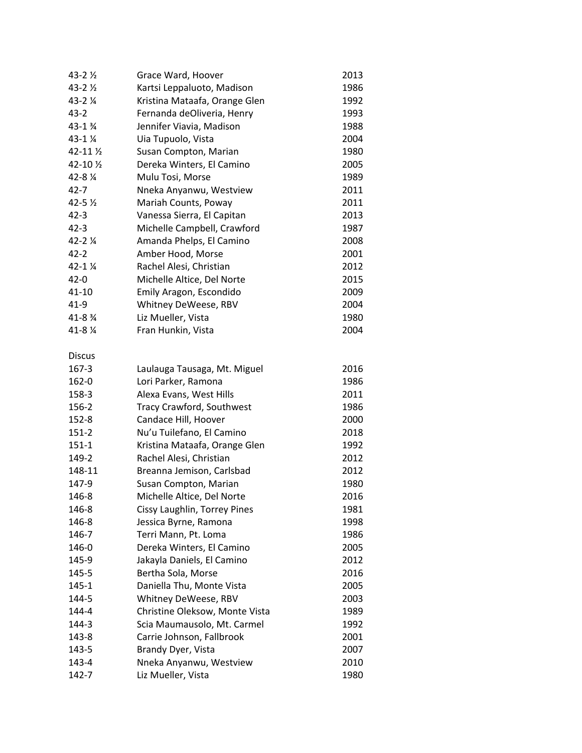| $43 - 2\frac{1}{2}$    | Grace Ward, Hoover             | 2013 |
|------------------------|--------------------------------|------|
| 43-2 1/2               | Kartsi Leppaluoto, Madison     | 1986 |
| 43-2 %                 | Kristina Mataafa, Orange Glen  | 1992 |
| $43 - 2$               | Fernanda deOliveria, Henry     | 1993 |
| 43-1 %                 | Jennifer Viavia, Madison       | 1988 |
| 43-1 %                 | Uia Tupuolo, Vista             | 2004 |
| 42-11 1/2              | Susan Compton, Marian          | 1980 |
| 42-10 1/2              | Dereka Winters, El Camino      | 2005 |
| 42-8 %                 | Mulu Tosi, Morse               | 1989 |
| $42 - 7$               | Nneka Anyanwu, Westview        | 2011 |
| $42 - 5\frac{1}{2}$    | Mariah Counts, Poway           | 2011 |
| $42 - 3$               | Vanessa Sierra, El Capitan     | 2013 |
| $42 - 3$               | Michelle Campbell, Crawford    | 1987 |
| $42 - 21/4$            | Amanda Phelps, El Camino       | 2008 |
| $42 - 2$               | Amber Hood, Morse              | 2001 |
| $42 - 1$ $\frac{1}{4}$ | Rachel Alesi, Christian        | 2012 |
| $42 - 0$               | Michelle Altice, Del Norte     | 2015 |
| $41 - 10$              | Emily Aragon, Escondido        | 2009 |
| $41-9$                 | Whitney DeWeese, RBV           | 2004 |
| 41-8 %                 | Liz Mueller, Vista             | 1980 |
| 41-8 %                 | Fran Hunkin, Vista             | 2004 |
|                        |                                |      |
| <b>Discus</b>          |                                |      |
| 167-3                  | Laulauga Tausaga, Mt. Miguel   | 2016 |
| 162-0                  | Lori Parker, Ramona            | 1986 |
| 158-3                  | Alexa Evans, West Hills        | 2011 |
| 156-2                  | Tracy Crawford, Southwest      | 1986 |
| $152 - 8$              | Candace Hill, Hoover           | 2000 |
| $151 - 2$              | Nu'u Tuilefano, El Camino      | 2018 |
| $151 - 1$              | Kristina Mataafa, Orange Glen  | 1992 |
| 149-2                  | Rachel Alesi, Christian        | 2012 |
| 148-11                 | Breanna Jemison, Carlsbad      | 2012 |
| 147-9                  | Susan Compton, Marian          | 1980 |
| 146-8                  | Michelle Altice, Del Norte     | 2016 |
| 146-8                  | Cissy Laughlin, Torrey Pines   | 1981 |
| 146-8                  | Jessica Byrne, Ramona          | 1998 |
| 146-7                  | Terri Mann, Pt. Loma           | 1986 |
| 146-0                  | Dereka Winters, El Camino      | 2005 |
| 145-9                  | Jakayla Daniels, El Camino     | 2012 |
| 145-5                  | Bertha Sola, Morse             | 2016 |
| $145 - 1$              | Daniella Thu, Monte Vista      | 2005 |
| 144-5                  | Whitney DeWeese, RBV           | 2003 |
| 144-4                  | Christine Oleksow, Monte Vista | 1989 |
| 144-3                  | Scia Maumausolo, Mt. Carmel    | 1992 |
| 143-8                  | Carrie Johnson, Fallbrook      | 2001 |
| 143-5                  | Brandy Dyer, Vista             | 2007 |
| 143-4                  | Nneka Anyanwu, Westview        | 2010 |
| 142-7                  | Liz Mueller, Vista             | 1980 |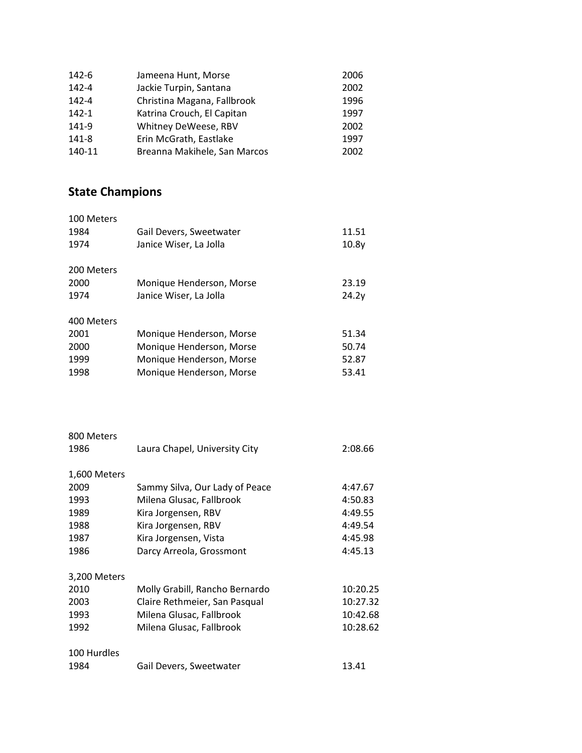| 142-6     | Jameena Hunt, Morse          | 2006 |
|-----------|------------------------------|------|
| 142-4     | Jackie Turpin, Santana       | 2002 |
| 142-4     | Christina Magana, Fallbrook  | 1996 |
| $142 - 1$ | Katrina Crouch, El Capitan   | 1997 |
| 141-9     | Whitney DeWeese, RBV         | 2002 |
| 141-8     | Erin McGrath, Eastlake       | 1997 |
| 140-11    | Breanna Makihele, San Marcos | 2002 |

## **State Champions**

| 100 Meters<br>1984<br>1974 | Gail Devers, Sweetwater<br>Janice Wiser, La Jolla | 11.51<br>10.8v |
|----------------------------|---------------------------------------------------|----------------|
| 200 Meters                 |                                                   |                |
| 2000                       | Monique Henderson, Morse                          | 23.19          |
| 1974                       | Janice Wiser, La Jolla                            | 24.2v          |
| 400 Meters                 |                                                   |                |
| 2001                       | Monique Henderson, Morse                          | 51.34          |
| 2000                       | Monique Henderson, Morse                          | 50.74          |
| 1999                       | Monique Henderson, Morse                          | 52.87          |
| 1998                       | Monique Henderson, Morse                          | 53.41          |

| 800 Meters   |                                |          |
|--------------|--------------------------------|----------|
| 1986         | Laura Chapel, University City  | 2:08.66  |
|              |                                |          |
| 1,600 Meters |                                |          |
| 2009         | Sammy Silva, Our Lady of Peace | 4:47.67  |
| 1993         | Milena Glusac, Fallbrook       | 4:50.83  |
| 1989         | Kira Jorgensen, RBV            | 4:49.55  |
| 1988         | Kira Jorgensen, RBV            | 4:49.54  |
| 1987         | Kira Jorgensen, Vista          | 4:45.98  |
| 1986         | Darcy Arreola, Grossmont       | 4:45.13  |
|              |                                |          |
| 3,200 Meters |                                |          |
| 2010         | Molly Grabill, Rancho Bernardo | 10:20.25 |
| 2003         | Claire Rethmeier, San Pasqual  | 10:27.32 |
| 1993         | Milena Glusac, Fallbrook       | 10:42.68 |
| 1992         | Milena Glusac, Fallbrook       | 10:28.62 |
|              |                                |          |
| 100 Hurdles  |                                |          |
| 1984         | Gail Devers, Sweetwater        | 13.41    |
|              |                                |          |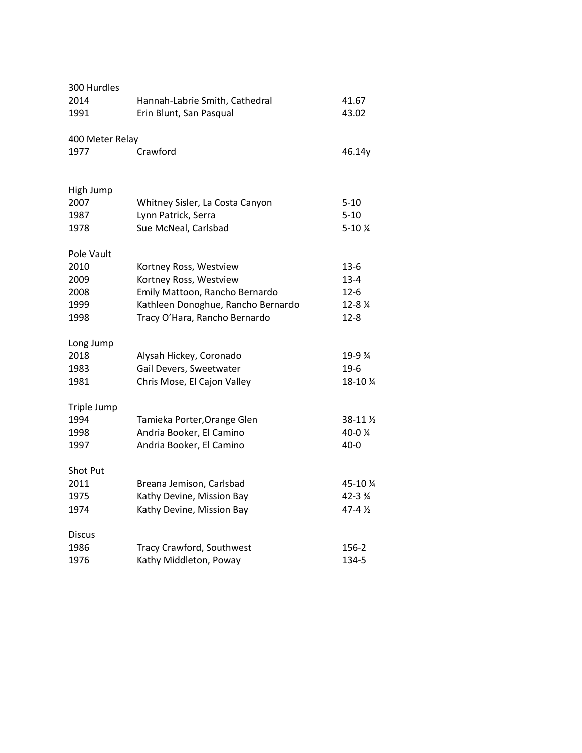| 300 Hurdles     |                                    |                     |
|-----------------|------------------------------------|---------------------|
| 2014            | Hannah-Labrie Smith, Cathedral     | 41.67               |
| 1991            | Erin Blunt, San Pasqual            | 43.02               |
| 400 Meter Relay |                                    |                     |
| 1977            | Crawford                           | 46.14y              |
| High Jump       |                                    |                     |
| 2007            | Whitney Sisler, La Costa Canyon    | $5 - 10$            |
| 1987            | Lynn Patrick, Serra                | $5 - 10$            |
| 1978            | Sue McNeal, Carlsbad               | $5 - 10$ %          |
| Pole Vault      |                                    |                     |
| 2010            | Kortney Ross, Westview             | $13-6$              |
| 2009            | Kortney Ross, Westview             | $13 - 4$            |
| 2008            | Emily Mattoon, Rancho Bernardo     | $12 - 6$            |
| 1999            | Kathleen Donoghue, Rancho Bernardo | 12-8 %              |
| 1998            | Tracy O'Hara, Rancho Bernardo      | 12-8                |
| Long Jump       |                                    |                     |
| 2018            | Alysah Hickey, Coronado            | 19-9 %              |
| 1983            | Gail Devers, Sweetwater            | $19-6$              |
| 1981            | Chris Mose, El Cajon Valley        | 18-10 %             |
| Triple Jump     |                                    |                     |
| 1994            | Tamieka Porter, Orange Glen        | $38-11\frac{1}{2}$  |
| 1998            | Andria Booker, El Camino           | 40-0 %              |
| 1997            | Andria Booker, El Camino           | $40 - 0$            |
| Shot Put        |                                    |                     |
| 2011            | Breana Jemison, Carlsbad           | 45-10 %             |
| 1975            | Kathy Devine, Mission Bay          | $42 - 3\frac{3}{4}$ |
| 1974            | Kathy Devine, Mission Bay          | $47 - 4\frac{1}{2}$ |
| <b>Discus</b>   |                                    |                     |
| 1986            | Tracy Crawford, Southwest          | 156-2               |
| 1976            | Kathy Middleton, Poway             | 134-5               |